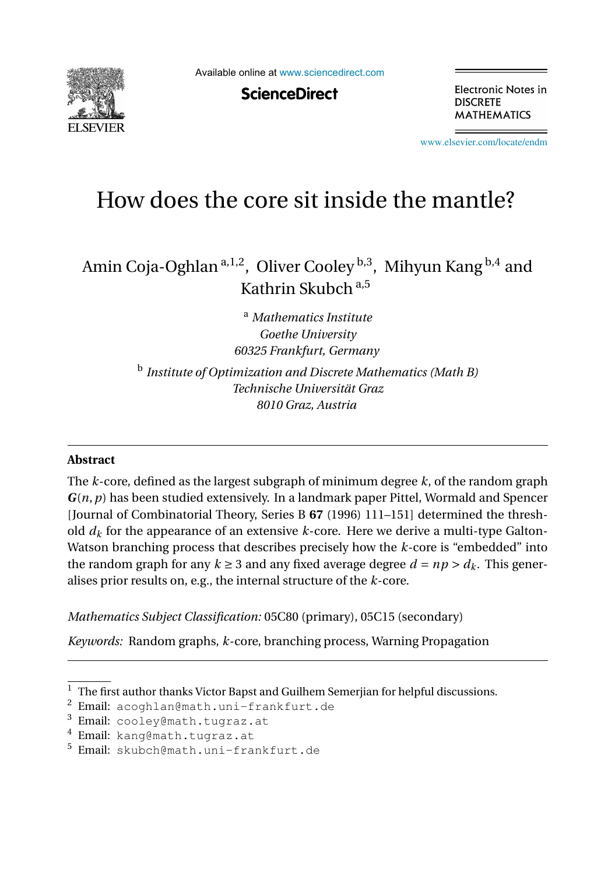

Available online at [www.sciencedirect.com](http://www.sciencedirect.com)

**ScienceDirect** 

Electronic Notes in **DISCRETE MATHEMATICS** 

[www.elsevier.com/locate/endm](http://www.elsevier.com/locate/endm)

# How does the core sit inside the mantle?

Amin Coja-Oghlan  $a,1,2$ , Oliver Cooley  $b,3$ , Mihyun Kang  $b,4$  and Kathrin Skubch a,5

> <sup>a</sup> *Mathematics Institute Goethe University 60325 Frankfurt, Germany* <sup>b</sup> *Institute of Optimization and Discrete Mathematics (Math B) Technische Universität Graz 8010 Graz, Austria*

#### **Abstract**

The *k*-core, defined as the largest subgraph of minimum degree *k*, of the random graph *G*(*n*,*p*) has been studied extensively. In a landmark paper Pittel, Wormald and Spencer [Journal of Combinatorial Theory, Series B **67** (1996) 111–151] determined the threshold  $d_k$  for the appearance of an extensive  $k$ -core. Here we derive a multi-type Galton-Watson branching process that describes precisely how the *k*-core is "embedded" into the random graph for any  $k \geq 3$  and any fixed average degree  $d = np > d_k$ . This generalises prior results on, e.g., the internal structure of the *k*-core.

*Mathematics Subject Classification:* 05C80 (primary), 05C15 (secondary)

*Keywords:* Random graphs, *k*-core, branching process, Warning Propagation

 $\overline{1}$  The first author thanks Victor Bapst and Guilhem Semerjian for helpful discussions.

<sup>2</sup> Email: acoghlan@math.uni-frankfurt.de

<sup>&</sup>lt;sup>3</sup> Email: cooley@math.tugraz.at

<sup>4</sup> Email: kang@math.tugraz.at

<sup>5</sup> Email: skubch@math.uni-frankfurt.de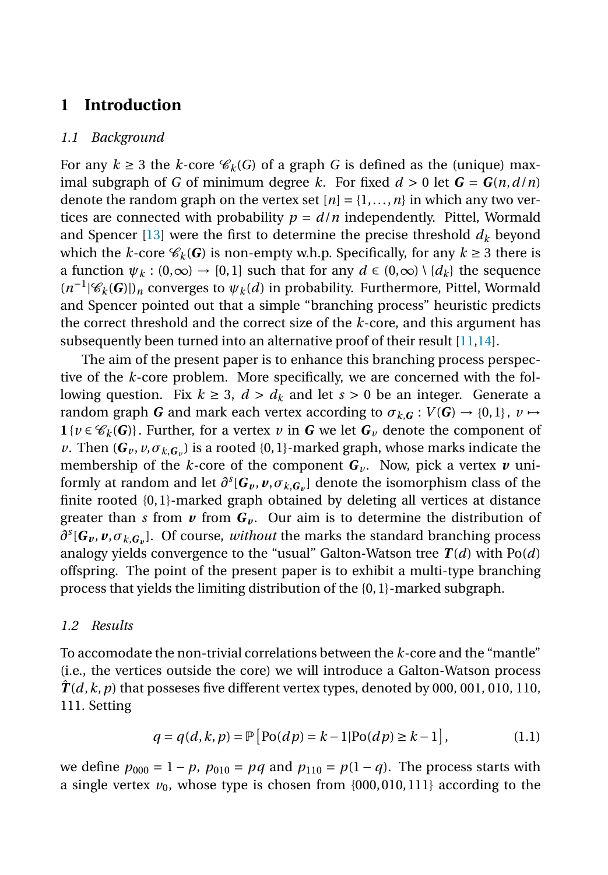## **1 Introduction**

#### *1.1 Background*

For any  $k \geq 3$  the *k*-core  $\mathcal{C}_k(G)$  of a graph *G* is defined as the (unique) maximal subgraph of *G* of minimum degree *k*. For fixed  $d > 0$  let  $G = G(n, d/n)$ denote the random graph on the vertex set  $[n] = \{1, \ldots, n\}$  in which any two vertices are connected with probability  $p = d/n$  independently. Pittel, Wormald and Spencer [\[13\]](#page-7-0) were the first to determine the precise threshold  $d_k$  beyond which the *k*-core  $\mathcal{C}_k(G)$  is non-empty w.h.p. Specifically, for any  $k \geq 3$  there is a function  $\psi_k : (0, \infty) \to [0, 1]$  such that for any  $d \in (0, \infty) \setminus \{d_k\}$  the sequence  $(n^{-1}|\mathscr{C}_k(G)|)_n$  converges to  $\psi_k(d)$  in probability. Furthermore, Pittel, Wormald and Spencer pointed out that a simple "branching process" heuristic predicts the correct threshold and the correct size of the *k*-core, and this argument has subsequently been turned into an alternative proof of their result  $[11,14]$ .

The aim of the present paper is to enhance this branching process perspective of the *k*-core problem. More specifically, we are concerned with the following question. Fix  $k \geq 3$ ,  $d > d_k$  and let  $s > 0$  be an integer. Generate a random graph *G* and mark each vertex according to  $\sigma_{k,G}: V(G) \to \{0,1\}, v \mapsto$ **1**{*v* ∈  $\mathcal{C}_k$ (*G*)}. Further, for a vertex *v* in *G* we let  $G$ <sup>*v*</sup> denote the component of *v*. Then  $(G_v, v, \sigma_{k,G_v})$  is a rooted {0, 1}-marked graph, whose marks indicate the membership of the *k*-core of the component  $G_v$ . Now, pick a vertex  $v$  uniformly at random and let  $\partial^s [G_v, v, \sigma_{k,G_v}]$  denote the isomorphism class of the finite rooted {0, 1}-marked graph obtained by deleting all vertices at distance greater than *s* from  $v$  from  $G_v$ . Our aim is to determine the distribution of  $\partial$ <sup>*s*</sup>[ $G_v$ ,  $v$ ,  $\sigma$ <sub>*k*, $G_v$ </sub>]. Of course, *without* the marks the standard branching process analogy yields convergence to the "usual" Galton-Watson tree  $T(d)$  with  $Po(d)$ offspring. The point of the present paper is to exhibit a multi-type branching process that yields the limiting distribution of the {0, 1}-marked subgraph.

#### *1.2 Results*

To accomodate the non-trivial correlations between the *k*-core and the "mantle" (i.e., the vertices outside the core) we will introduce a Galton-Watson process  $T(d, k, p)$  that posseses five different vertex types, denoted by 000, 001, 010, 110, 111. Setting

$$
q = q(d, k, p) = \mathbb{P}\left[\text{Po}(dp) = k - 1 | \text{Po}(dp) \ge k - 1\right],\tag{1.1}
$$

we define  $p_{000} = 1 - p$ ,  $p_{010} = pq$  and  $p_{110} = p(1 - q)$ . The process starts with a single vertex  $v_0$ , whose type is chosen from  $\{000, 010, 111\}$  according to the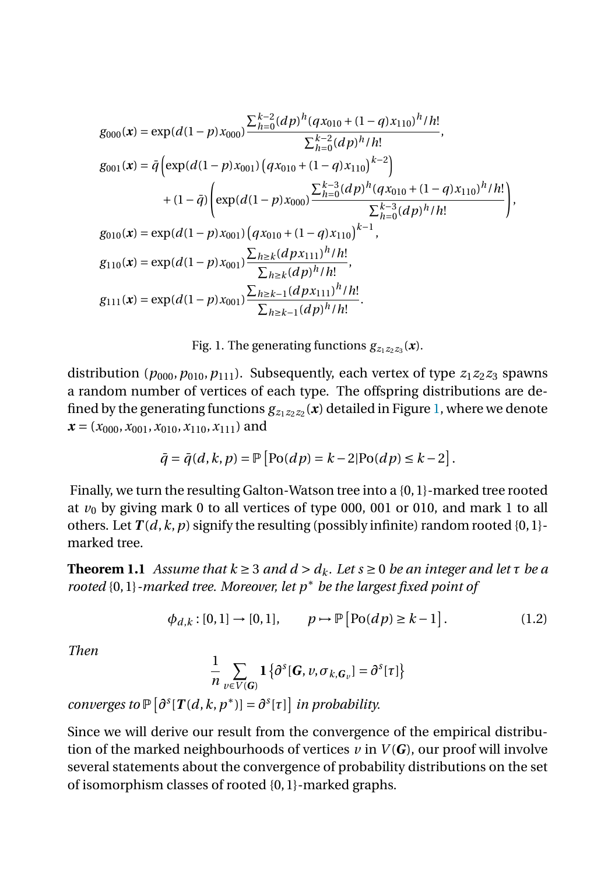<span id="page-2-0"></span>
$$
g_{000}(\mathbf{x}) = \exp(d(1-p)x_{000}) \frac{\sum_{h=0}^{k-2} (dp)^h (q x_{010} + (1-q) x_{110})^h / h!}{\sum_{h=0}^{k-2} (dp)^h / h!},
$$
  
\n
$$
g_{001}(\mathbf{x}) = \bar{q} \left( \exp(d(1-p)x_{001}) \left( q x_{010} + (1-q) x_{110} \right)^{k-2} \right) + (1-\bar{q}) \left( \exp(d(1-p)x_{000}) \frac{\sum_{h=0}^{k-3} (dp)^h (q x_{010} + (1-q) x_{110})^h / h!}{\sum_{h=0}^{k-3} (dp)^h / h!} \right),
$$
  
\n
$$
g_{010}(\mathbf{x}) = \exp(d(1-p)x_{001}) \left( q x_{010} + (1-q) x_{110} \right)^{k-1},
$$
  
\n
$$
g_{110}(\mathbf{x}) = \exp(d(1-p)x_{001}) \frac{\sum_{h \ge k} (dp x_{111})^h / h!}{\sum_{h \ge k} (dp)^h / h!},
$$
  
\n
$$
g_{111}(\mathbf{x}) = \exp(d(1-p)x_{001}) \frac{\sum_{h \ge k-1} (dp x_{111})^h / h!}{\sum_{h \ge k-1} (dp)^h / h!}.
$$

Fig. 1. The generating functions  $g_{z_1z_2z_3}(x)$ .

distribution ( $p_{000}, p_{010}, p_{111}$ ). Subsequently, each vertex of type  $z_1z_2z_3$  spawns a random number of vertices of each type. The offspring distributions are defined by the generating functions  $g_{z_1z_2z_2}(x)$  detailed in Figure 1, where we denote  $x = (x_{000}, x_{001}, x_{010}, x_{110}, x_{111})$  and

$$
\bar{q} = \bar{q}(d, k, p) = \mathbb{P}\left[\text{Po}(dp) = k - 2|\text{Po}(dp) \leq k - 2\right].
$$

Finally, we turn the resulting Galton-Watson tree into a {0, 1}-marked tree rooted at  $v_0$  by giving mark 0 to all vertices of type 000, 001 or 010, and mark 1 to all others. Let  $T(d, k, p)$  signify the resulting (possibly infinite) random rooted  $\{0, 1\}$ marked tree.

**Theorem 1.1** *Assume that*  $k \geq 3$  *and*  $d > d_k$ *. Let*  $s \geq 0$  *be an integer and let*  $\tau$  *be a rooted* {0, 1}*-marked tree. Moreover, let p*∗ *be the largest fixed point of*

$$
\phi_{d,k} : [0,1] \to [0,1], \qquad p \mapsto \mathbb{P} [\text{Po}(dp) \ge k-1].
$$
 (1.2)

*Then*

$$
\frac{1}{n} \sum_{v \in V(G)} \mathbf{1} \left\{ \partial^s [\mathbf{G}, v, \sigma_{k, \mathbf{G}_v}] = \partial^s [\tau] \right\}
$$

*converges to*  $\mathbb{P}\left[\partial^{s}[T(d,k,p^{*})] = \partial^{s}[\tau]\right]$  *in probability.* 

Since we will derive our result from the convergence of the empirical distribution of the marked neighbourhoods of vertices  $\nu$  in  $V(G)$ , our proof will involve several statements about the convergence of probability distributions on the set of isomorphism classes of rooted {0, 1}-marked graphs.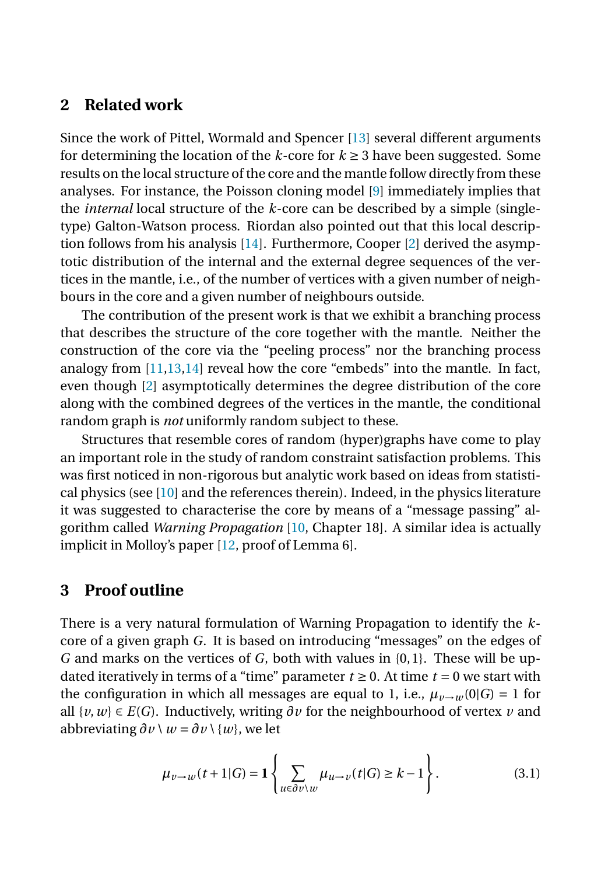## **2 Related work**

Since the work of Pittel, Wormald and Spencer [\[13\]](#page-7-0) several different arguments for determining the location of the  $k$ -core for  $k \geq 3$  have been suggested. Some results on the local structure of the core and the mantle follow directly from these analyses. For instance, the Poisson cloning model [\[9\]](#page-7-0) immediately implies that the *internal* local structure of the *k*-core can be described by a simple (singletype) Galton-Watson process. Riordan also pointed out that this local description follows from his analysis [\[14\]](#page-7-0). Furthermore, Cooper [\[2\]](#page-6-0) derived the asymptotic distribution of the internal and the external degree sequences of the vertices in the mantle, i.e., of the number of vertices with a given number of neighbours in the core and a given number of neighbours outside.

The contribution of the present work is that we exhibit a branching process that describes the structure of the core together with the mantle. Neither the construction of the core via the "peeling process" nor the branching process analogy from  $[11,13,14]$  reveal how the core "embeds" into the mantle. In fact, even though [\[2\]](#page-6-0) asymptotically determines the degree distribution of the core along with the combined degrees of the vertices in the mantle, the conditional random graph is *not* uniformly random subject to these.

Structures that resemble cores of random (hyper)graphs have come to play an important role in the study of random constraint satisfaction problems. This was first noticed in non-rigorous but analytic work based on ideas from statistical physics (see [\[10\]](#page-7-0) and the references therein). Indeed, in the physics literature it was suggested to characterise the core by means of a "message passing" algorithm called *Warning Propagation* [\[10,](#page-7-0) Chapter 18]. A similar idea is actually implicit in Molloy's paper [\[12,](#page-7-0) proof of Lemma 6].

## **3 Proof outline**

There is a very natural formulation of Warning Propagation to identify the *k*core of a given graph *G*. It is based on introducing "messages" on the edges of *G* and marks on the vertices of *G*, both with values in {0, 1}. These will be updated iteratively in terms of a "time" parameter  $t \ge 0$ . At time  $t = 0$  we start with the configuration in which all messages are equal to 1, i.e.,  $\mu_{\nu \to \nu}(0|G) = 1$  for all  $\{v, w\}$  ∈ *E*(*G*). Inductively, writing  $\partial v$  for the neighbourhood of vertex *v* and abbreviating  $\partial v \setminus w = \partial v \setminus \{w\}$ , we let

$$
\mu_{\nu \to w}(t+1|G) = \mathbf{1}\left\{\sum_{u \in \partial \nu \setminus w} \mu_{u \to v}(t|G) \ge k-1\right\}.
$$
 (3.1)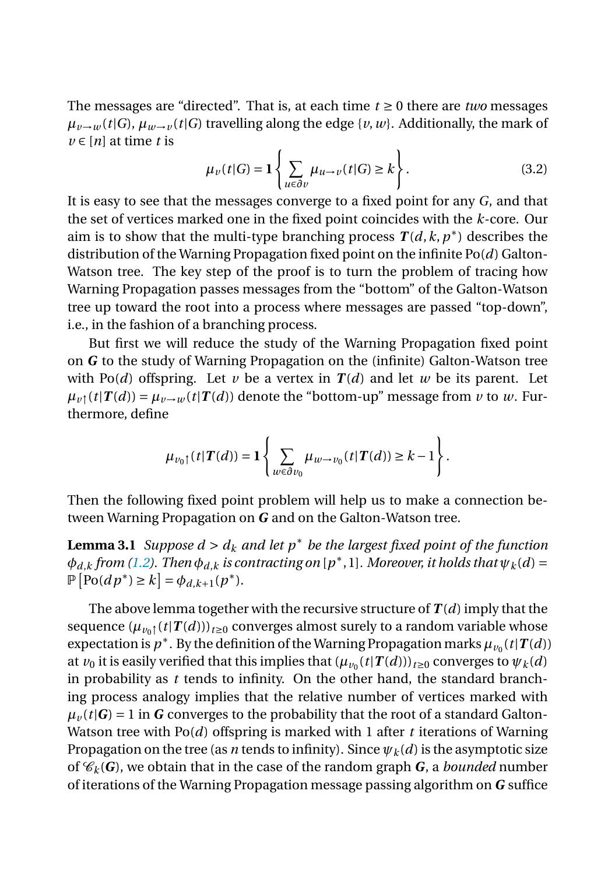The messages are "directed". That is, at each time  $t \geq 0$  there are *two* messages  $\mu_{v\rightarrow w}(t|G)$ ,  $\mu_{w\rightarrow v}(t|G)$  travelling along the edge {*v*, *w*}. Additionally, the mark of  $\nu \in [n]$  at time *t* is

$$
\mu_{\nu}(t|G) = \mathbf{1}\left\{\sum_{u \in \partial \nu} \mu_{u \to \nu}(t|G) \ge k\right\}.
$$
 (3.2)

It is easy to see that the messages converge to a fixed point for any *G*, and that the set of vertices marked one in the fixed point coincides with the *k*-core. Our aim is to show that the multi-type branching process  $T(d, k, p^*)$  describes the distribution of the Warning Propagation fixed point on the infinite Po(*d*) Galton-Watson tree. The key step of the proof is to turn the problem of tracing how Warning Propagation passes messages from the "bottom" of the Galton-Watson tree up toward the root into a process where messages are passed "top-down", i.e., in the fashion of a branching process.

But first we will reduce the study of the Warning Propagation fixed point on *G* to the study of Warning Propagation on the (infinite) Galton-Watson tree with Po(*d*) offspring. Let *v* be a vertex in  $T(d)$  and let *w* be its parent. Let  $\mu_{\nu}$ <sup>{</sup>(*t*|*T*(*d*)) =  $\mu_{\nu \to \nu}$  (*t*|*T*(*d*)) denote the "bottom-up" message from *v* to *w*. Furthermore, define

$$
\mu_{v_0\uparrow}(t|\boldsymbol{T}(d)) = \mathbf{1}\left\{\sum_{w\in\partial v_0}\mu_{w\to v_0}(t|\boldsymbol{T}(d))\geq k-1\right\}.
$$

Then the following fixed point problem will help us to make a connection between Warning Propagation on *G* and on the Galton-Watson tree.

**Lemma 3.1** *Suppose*  $d > d_k$  *and let p<sup>\*</sup> be the largest fixed point of the function*  $\phi_{d,k}$  *from* [\(1.2\)](#page-2-0). Then  $\phi_{d,k}$  *is contracting on* [ $p^*$ ,1]*. Moreover, it holds that*  $\psi_k(d)$  =  $\mathbb{P}\left[\text{Po}(dp^*) \ge k\right] = \phi_{d,k+1}(p^*).$ 

The above lemma together with the recursive structure of *T* (*d*) imply that the sequence  $(\mu_{\nu_0 \uparrow}(t|T(d)))_{t \geq 0}$  converges almost surely to a random variable whose expectation is  $p^*$ . By the definition of the Warning Propagation marks  $\mu_{v_0}(t|T(d))$ at  $v_0$  it is easily verified that this implies that  $(\mu_{v_0}(t|T(d)))_{t\geq0}$  converges to  $\psi_k(d)$ in probability as *t* tends to infinity. On the other hand, the standard branching process analogy implies that the relative number of vertices marked with  $\mu$ <sup>*v*</sup> (*t* $|G|$ ) = 1 in *G* converges to the probability that the root of a standard Galton-Watson tree with Po(*d*) offspring is marked with 1 after *t* iterations of Warning Propagation on the tree (as *n* tends to infinity). Since  $\psi_k(d)$  is the asymptotic size of  $\mathcal{C}_k(G)$ , we obtain that in the case of the random graph *G*, a *bounded* number of iterations of the Warning Propagation message passing algorithm on *G* suffice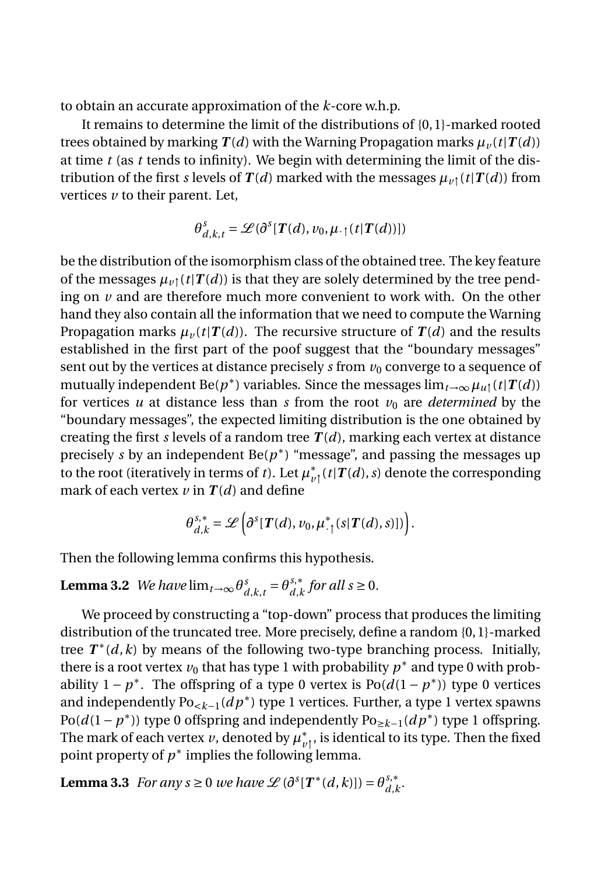<span id="page-5-0"></span>to obtain an accurate approximation of the *k*-core w.h.p.

It remains to determine the limit of the distributions of {0, 1}-marked rooted trees obtained by marking  $T(d)$  with the Warning Propagation marks  $\mu_{\nu}(t|T(d))$ at time *t* (as *t* tends to infinity). We begin with determining the limit of the distribution of the first *s* levels of  $T(d)$  marked with the messages  $\mu_{\nu}$  ( $t$ | $T(d)$ ) from vertices *v* to their parent. Let,

$$
\theta_{d,k,t}^s = \mathcal{L}(\partial^s [T(d), v_0, \mu_{\cdot}^{\dagger}(t | T(d))])
$$

be the distribution of the isomorphism class of the obtained tree. The key feature of the messages  $\mu_{\nu\uparrow}(t|\mathbf{T}(d))$  is that they are solely determined by the tree pending on *v* and are therefore much more convenient to work with. On the other hand they also contain all the information that we need to compute the Warning Propagation marks  $\mu_{\nu}(t|T(d))$ . The recursive structure of  $T(d)$  and the results established in the first part of the poof suggest that the "boundary messages" sent out by the vertices at distance precisely *s* from  $v_0$  converge to a sequence of mutually independent Be( $p^*$ ) variables. Since the messages  $\lim_{t\to\infty} \mu_{u}f(t|T(d))$ for vertices  $u$  at distance less than  $s$  from the root  $v_0$  are *determined* by the "boundary messages", the expected limiting distribution is the one obtained by creating the first *s* levels of a random tree  $T(d)$ , marking each vertex at distance precisely *s* by an independent  $Be(p^*)$  "message", and passing the messages up to the root (iteratively in terms of *t*). Let  $\mu_{v\uparrow}^*(t|T(d),s)$  denote the corresponding mark of each vertex  $\nu$  in  $T(d)$  and define

$$
\theta_{d,k}^{s,*} = \mathscr{L}\left(\partial^{s}[T(d),\nu_0,\mu_{\cdot}^{*} (s | T(d), s)])\right).
$$

Then the following lemma confirms this hypothesis.

**Lemma 3.2** *We have*  $\lim_{t\to\infty} \theta_{d,k,t}^s = \theta_{d,k}^{s,*}$  *for all s* ≥ 0*.* 

We proceed by constructing a "top-down" process that produces the limiting distribution of the truncated tree. More precisely, define a random {0, 1}-marked tree  $T^*(d, k)$  by means of the following two-type branching process. Initially, there is a root vertex  $v_0$  that has type 1 with probability  $p^*$  and type 0 with probability  $1 - p^*$ . The offspring of a type 0 vertex is  $Po(d(1 - p^*))$  type 0 vertices and independently Po<*k*−1(*d p*∗) type 1 vertices. Further, a type 1 vertex spawns Po( $d(1-p^*)$ ) type 0 offspring and independently Po<sub>≥k−1</sub>( $dp^*$ ) type 1 offspring. The mark of each vertex *v*, denoted by  $\mu_{v\uparrow}^*$ , is identical to its type. Then the fixed point property of  $p^*$  implies the following lemma.

**Lemma 3.3** *For any s*  $\geq 0$  *we have*  $\mathscr{L}(\partial^s[T^*(d,k)]) = \theta_{d,k}^{s,*}$ .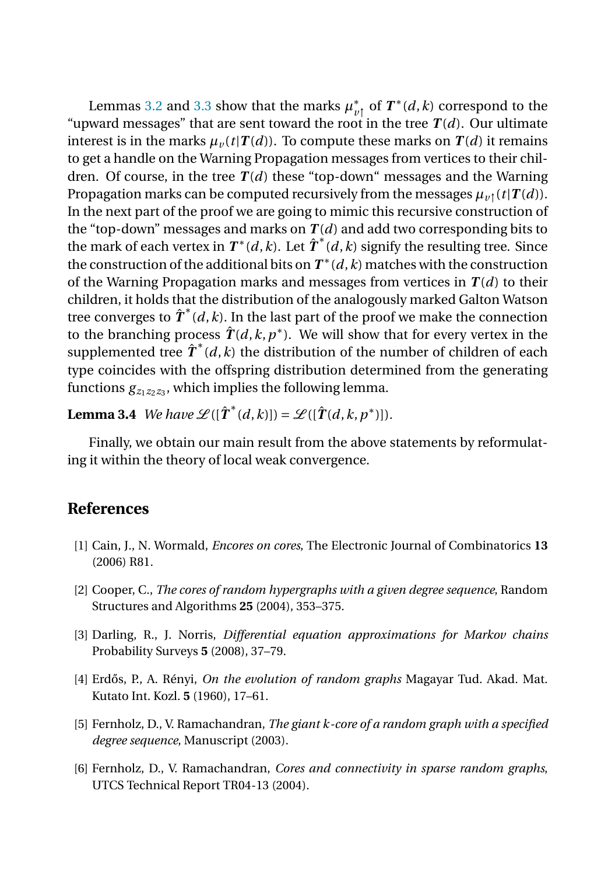<span id="page-6-0"></span>Lemmas [3.2](#page-5-0) and [3.3](#page-5-0) show that the marks  $\mu_{\nu_1}^*$  of  $T^*(d, k)$  correspond to the "upward messages" that are sent toward the root in the tree  $T(d)$ . Our ultimate interest is in the marks  $\mu_{\nu}(t|\mathbf{T}(d))$ . To compute these marks on  $\mathbf{T}(d)$  it remains to get a handle on the Warning Propagation messages from vertices to their children. Of course, in the tree  $T(d)$  these "top-down" messages and the Warning Propagation marks can be computed recursively from the messages  $\mu_{\nu}$  (*t*|*T*(*d*)). In the next part of the proof we are going to mimic this recursive construction of the "top-down" messages and marks on  $T(d)$  and add two corresponding bits to the mark of each vertex in  $\boldsymbol{T}^*(d,k)$ . Let  $\hat{\boldsymbol{T}}^*(d,k)$  signify the resulting tree. Since the construction of the additional bits on  $T^*(d, k)$  matches with the construction of the Warning Propagation marks and messages from vertices in  $T(d)$  to their children, it holds that the distribution of the analogously marked Galton Watson tree converges to  $\hat{\pmb{T}}^{*}(\emph{d},\emph{k})$ . In the last part of the proof we make the connection to the branching process  $\hat{T}(d, k, p^*)$ . We will show that for every vertex in the supplemented tree  $\hat{\pmb{T}}^{*}(\emph{d},\emph{k})$  the distribution of the number of children of each type coincides with the offspring distribution determined from the generating functions  $g_{z_1z_2z_3}$ , which implies the following lemma.

**Lemma 3.4** *We have*  $\mathscr{L}([\hat{\boldsymbol{T}}^*(d,k)]) = \mathscr{L}([\hat{\boldsymbol{T}}(d,k,p^*)])$ .

Finally, we obtain our main result from the above statements by reformulating it within the theory of local weak convergence.

## **References**

- [1] Cain, J., N. Wormald, *Encores on cores*, The Electronic Journal of Combinatorics **13** (2006) R81.
- [2] Cooper, C., *The cores of random hypergraphs with a given degree sequence*, Random Structures and Algorithms **25** (2004), 353–375.
- [3] Darling, R., J. Norris, *Differential equation approximations for Markov chains* Probability Surveys **5** (2008), 37–79.
- [4] Erd˝os, P., A. Rényi, *On the evolution of random graphs* Magayar Tud. Akad. Mat. Kutato Int. Kozl. **5** (1960), 17–61.
- [5] Fernholz, D., V. Ramachandran, *The giant k-core of a random graph with a specified degree sequence*, Manuscript (2003).
- [6] Fernholz, D., V. Ramachandran, *Cores and connectivity in sparse random graphs*, UTCS Technical Report TR04-13 (2004).